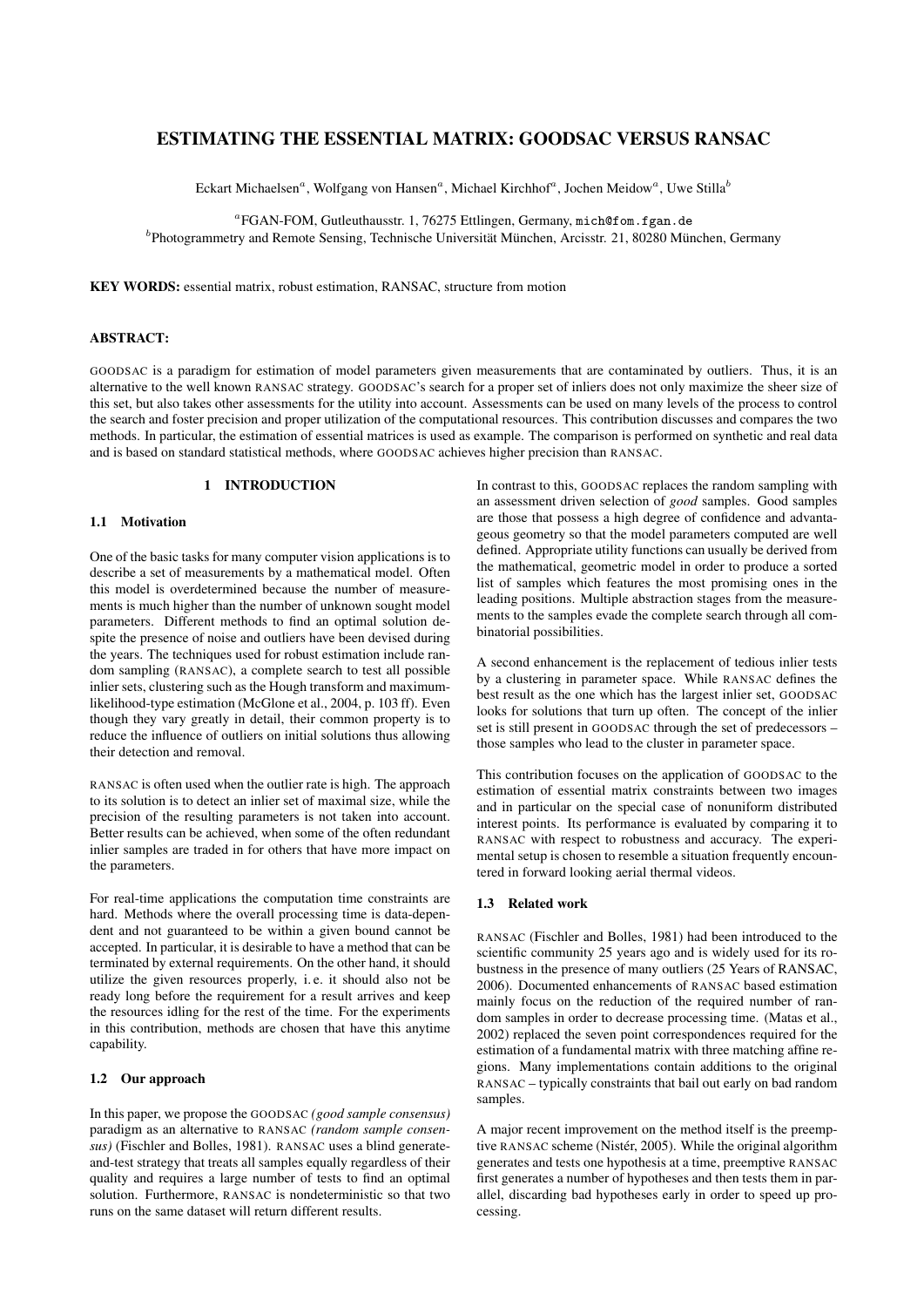# ESTIMATING THE ESSENTIAL MATRIX: GOODSAC VERSUS RANSAC

Eckart Michaelsen<sup>a</sup>, Wolfgang von Hansen<sup>a</sup>, Michael Kirchhof<sup>a</sup>, Jochen Meidow<sup>a</sup>, Uwe Stilla<sup>b</sup>

a FGAN-FOM, Gutleuthausstr. 1, 76275 Ettlingen, Germany, mich@fom.fgan.de

<sup>b</sup>Photogrammetry and Remote Sensing, Technische Universität München, Arcisstr. 21, 80280 München, Germany

KEY WORDS: essential matrix, robust estimation, RANSAC, structure from motion

## ABSTRACT:

GOODSAC is a paradigm for estimation of model parameters given measurements that are contaminated by outliers. Thus, it is an alternative to the well known RANSAC strategy. GOODSAC's search for a proper set of inliers does not only maximize the sheer size of this set, but also takes other assessments for the utility into account. Assessments can be used on many levels of the process to control the search and foster precision and proper utilization of the computational resources. This contribution discusses and compares the two methods. In particular, the estimation of essential matrices is used as example. The comparison is performed on synthetic and real data and is based on standard statistical methods, where GOODSAC achieves higher precision than RANSAC.

# 1 INTRODUCTION

## 1.1 Motivation

One of the basic tasks for many computer vision applications is to describe a set of measurements by a mathematical model. Often this model is overdetermined because the number of measurements is much higher than the number of unknown sought model parameters. Different methods to find an optimal solution despite the presence of noise and outliers have been devised during the years. The techniques used for robust estimation include random sampling (RANSAC), a complete search to test all possible inlier sets, clustering such as the Hough transform and maximumlikelihood-type estimation (McGlone et al., 2004, p. 103 ff). Even though they vary greatly in detail, their common property is to reduce the influence of outliers on initial solutions thus allowing their detection and removal.

RANSAC is often used when the outlier rate is high. The approach to its solution is to detect an inlier set of maximal size, while the precision of the resulting parameters is not taken into account. Better results can be achieved, when some of the often redundant inlier samples are traded in for others that have more impact on the parameters.

For real-time applications the computation time constraints are hard. Methods where the overall processing time is data-dependent and not guaranteed to be within a given bound cannot be accepted. In particular, it is desirable to have a method that can be terminated by external requirements. On the other hand, it should utilize the given resources properly, i. e. it should also not be ready long before the requirement for a result arrives and keep the resources idling for the rest of the time. For the experiments in this contribution, methods are chosen that have this anytime capability.

## 1.2 Our approach

In this paper, we propose the GOODSAC *(good sample consensus)* paradigm as an alternative to RANSAC *(random sample consensus)* (Fischler and Bolles, 1981). RANSAC uses a blind generateand-test strategy that treats all samples equally regardless of their quality and requires a large number of tests to find an optimal solution. Furthermore, RANSAC is nondeterministic so that two runs on the same dataset will return different results.

In contrast to this, GOODSAC replaces the random sampling with an assessment driven selection of *good* samples. Good samples are those that possess a high degree of confidence and advantageous geometry so that the model parameters computed are well defined. Appropriate utility functions can usually be derived from the mathematical, geometric model in order to produce a sorted list of samples which features the most promising ones in the leading positions. Multiple abstraction stages from the measurements to the samples evade the complete search through all combinatorial possibilities.

A second enhancement is the replacement of tedious inlier tests by a clustering in parameter space. While RANSAC defines the best result as the one which has the largest inlier set, GOODSAC looks for solutions that turn up often. The concept of the inlier set is still present in GOODSAC through the set of predecessors – those samples who lead to the cluster in parameter space.

This contribution focuses on the application of GOODSAC to the estimation of essential matrix constraints between two images and in particular on the special case of nonuniform distributed interest points. Its performance is evaluated by comparing it to RANSAC with respect to robustness and accuracy. The experimental setup is chosen to resemble a situation frequently encountered in forward looking aerial thermal videos.

### 1.3 Related work

RANSAC (Fischler and Bolles, 1981) had been introduced to the scientific community 25 years ago and is widely used for its robustness in the presence of many outliers (25 Years of RANSAC, 2006). Documented enhancements of RANSAC based estimation mainly focus on the reduction of the required number of random samples in order to decrease processing time. (Matas et al., 2002) replaced the seven point correspondences required for the estimation of a fundamental matrix with three matching affine regions. Many implementations contain additions to the original RANSAC – typically constraints that bail out early on bad random samples.

A major recent improvement on the method itself is the preemptive RANSAC scheme (Nistér, 2005). While the original algorithm generates and tests one hypothesis at a time, preemptive RANSAC first generates a number of hypotheses and then tests them in parallel, discarding bad hypotheses early in order to speed up processing.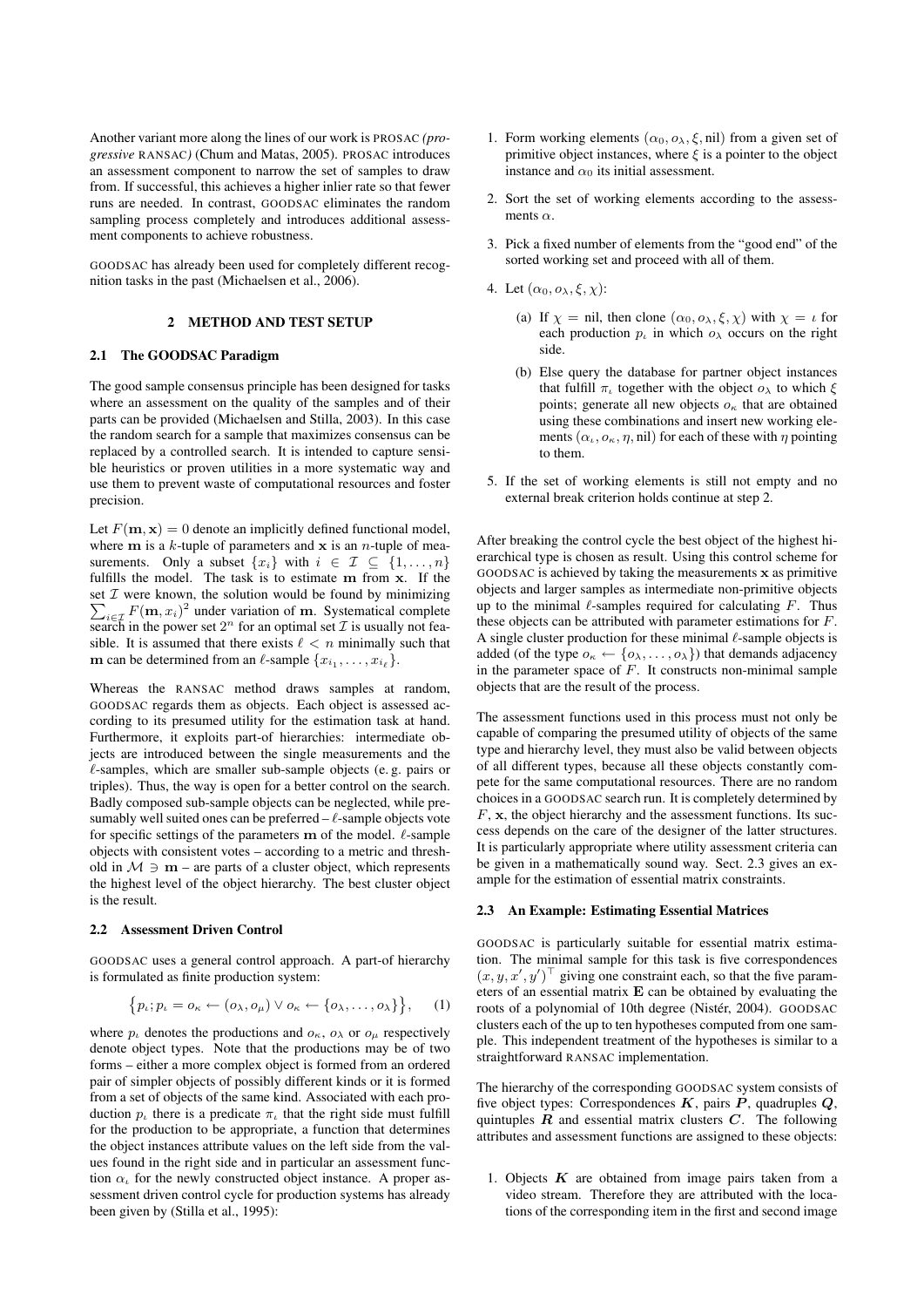Another variant more along the lines of our work is PROSAC *(progressive* RANSAC*)* (Chum and Matas, 2005). PROSAC introduces an assessment component to narrow the set of samples to draw from. If successful, this achieves a higher inlier rate so that fewer runs are needed. In contrast, GOODSAC eliminates the random sampling process completely and introduces additional assessment components to achieve robustness.

GOODSAC has already been used for completely different recognition tasks in the past (Michaelsen et al., 2006).

### 2 METHOD AND TEST SETUP

### 2.1 The GOODSAC Paradigm

The good sample consensus principle has been designed for tasks where an assessment on the quality of the samples and of their parts can be provided (Michaelsen and Stilla, 2003). In this case the random search for a sample that maximizes consensus can be replaced by a controlled search. It is intended to capture sensible heuristics or proven utilities in a more systematic way and use them to prevent waste of computational resources and foster precision.

Let  $F(\mathbf{m}, \mathbf{x}) = 0$  denote an implicitly defined functional model, where  $m$  is a k-tuple of parameters and  $x$  is an n-tuple of measurements. Only a subset  $\{x_i\}$  with  $i \in \mathcal{I} \subseteq \{1, \ldots, n\}$ fulfills the model. The task is to estimate m from x. If the  $\sum_{i \in \mathcal{I}} F(\mathbf{m}, x_i)^2$  under variation of **m**. Systematical complete set  $I$  were known, the solution would be found by minimizing search in the power set  $2^n$  for an optimal set  $\mathcal I$  is usually not feasible. It is assumed that there exists  $\ell < n$  minimally such that **m** can be determined from an  $\ell$ -sample  $\{x_{i_1}, \ldots, x_{i_\ell}\}.$ 

Whereas the RANSAC method draws samples at random, GOODSAC regards them as objects. Each object is assessed according to its presumed utility for the estimation task at hand. Furthermore, it exploits part-of hierarchies: intermediate objects are introduced between the single measurements and the  $\ell$ -samples, which are smaller sub-sample objects (e. g. pairs or triples). Thus, the way is open for a better control on the search. Badly composed sub-sample objects can be neglected, while presumably well suited ones can be preferred  $-\ell$ -sample objects vote for specific settings of the parameters  $\bf{m}$  of the model.  $\ell$ -sample objects with consistent votes – according to a metric and threshold in  $M \ni m$  – are parts of a cluster object, which represents the highest level of the object hierarchy. The best cluster object is the result.

#### 2.2 Assessment Driven Control

GOODSAC uses a general control approach. A part-of hierarchy is formulated as finite production system:

$$
\{p_{\iota}; p_{\iota} = o_{\kappa} \leftarrow (o_{\lambda}, o_{\mu}) \vee o_{\kappa} \leftarrow \{o_{\lambda}, \dots, o_{\lambda}\}\},\qquad(1)
$$

where  $p_{\mu}$  denotes the productions and  $o_{\kappa}$ ,  $o_{\lambda}$  or  $o_{\mu}$  respectively denote object types. Note that the productions may be of two forms – either a more complex object is formed from an ordered pair of simpler objects of possibly different kinds or it is formed from a set of objects of the same kind. Associated with each production  $p_{\iota}$  there is a predicate  $\pi_{\iota}$  that the right side must fulfill for the production to be appropriate, a function that determines the object instances attribute values on the left side from the values found in the right side and in particular an assessment function  $\alpha_{\iota}$  for the newly constructed object instance. A proper assessment driven control cycle for production systems has already been given by (Stilla et al., 1995):

- 1. Form working elements  $(\alpha_0, \alpha_\lambda, \xi, \text{nil})$  from a given set of primitive object instances, where  $\xi$  is a pointer to the object instance and  $\alpha_0$  its initial assessment.
- 2. Sort the set of working elements according to the assessments  $\alpha$ .
- 3. Pick a fixed number of elements from the "good end" of the sorted working set and proceed with all of them.
- 4. Let  $(\alpha_0, \alpha_\lambda, \xi, \chi)$ :
	- (a) If  $\chi = \text{nil}$ , then clone  $(\alpha_0, \alpha_\lambda, \xi, \chi)$  with  $\chi = \iota$  for each production  $p_i$  in which  $o_\lambda$  occurs on the right side.
	- (b) Else query the database for partner object instances that fulfill  $\pi_i$  together with the object  $\rho_{\lambda}$  to which  $\xi$ points; generate all new objects  $o_{\kappa}$  that are obtained using these combinations and insert new working elements  $(\alpha_k, o_\kappa, \eta, \text{nil})$  for each of these with  $\eta$  pointing to them.
- 5. If the set of working elements is still not empty and no external break criterion holds continue at step 2.

After breaking the control cycle the best object of the highest hierarchical type is chosen as result. Using this control scheme for GOODSAC is achieved by taking the measurements x as primitive objects and larger samples as intermediate non-primitive objects up to the minimal  $\ell$ -samples required for calculating F. Thus these objects can be attributed with parameter estimations for F. A single cluster production for these minimal  $\ell$ -sample objects is added (of the type  $o_{\kappa} \leftarrow \{o_{\lambda}, \ldots, o_{\lambda}\}\)$  that demands adjacency in the parameter space of  $F$ . It constructs non-minimal sample objects that are the result of the process.

The assessment functions used in this process must not only be capable of comparing the presumed utility of objects of the same type and hierarchy level, they must also be valid between objects of all different types, because all these objects constantly compete for the same computational resources. There are no random choices in a GOODSAC search run. It is completely determined by  $F$ ,  $\bf{x}$ , the object hierarchy and the assessment functions. Its success depends on the care of the designer of the latter structures. It is particularly appropriate where utility assessment criteria can be given in a mathematically sound way. Sect. 2.3 gives an example for the estimation of essential matrix constraints.

### 2.3 An Example: Estimating Essential Matrices

GOODSAC is particularly suitable for essential matrix estimation. The minimal sample for this task is five correspondences  $(x, y, x', y')^{\top}$  giving one constraint each, so that the five parameters of an essential matrix E can be obtained by evaluating the roots of a polynomial of 10th degree (Nistér, 2004). GOODSAC clusters each of the up to ten hypotheses computed from one sample. This independent treatment of the hypotheses is similar to a straightforward RANSAC implementation.

The hierarchy of the corresponding GOODSAC system consists of five object types: Correspondences  $K$ , pairs  $P$ , quadruples  $Q$ , quintuples  $\vec{R}$  and essential matrix clusters  $\vec{C}$ . The following attributes and assessment functions are assigned to these objects:

1. Objects  $K$  are obtained from image pairs taken from a video stream. Therefore they are attributed with the locations of the corresponding item in the first and second image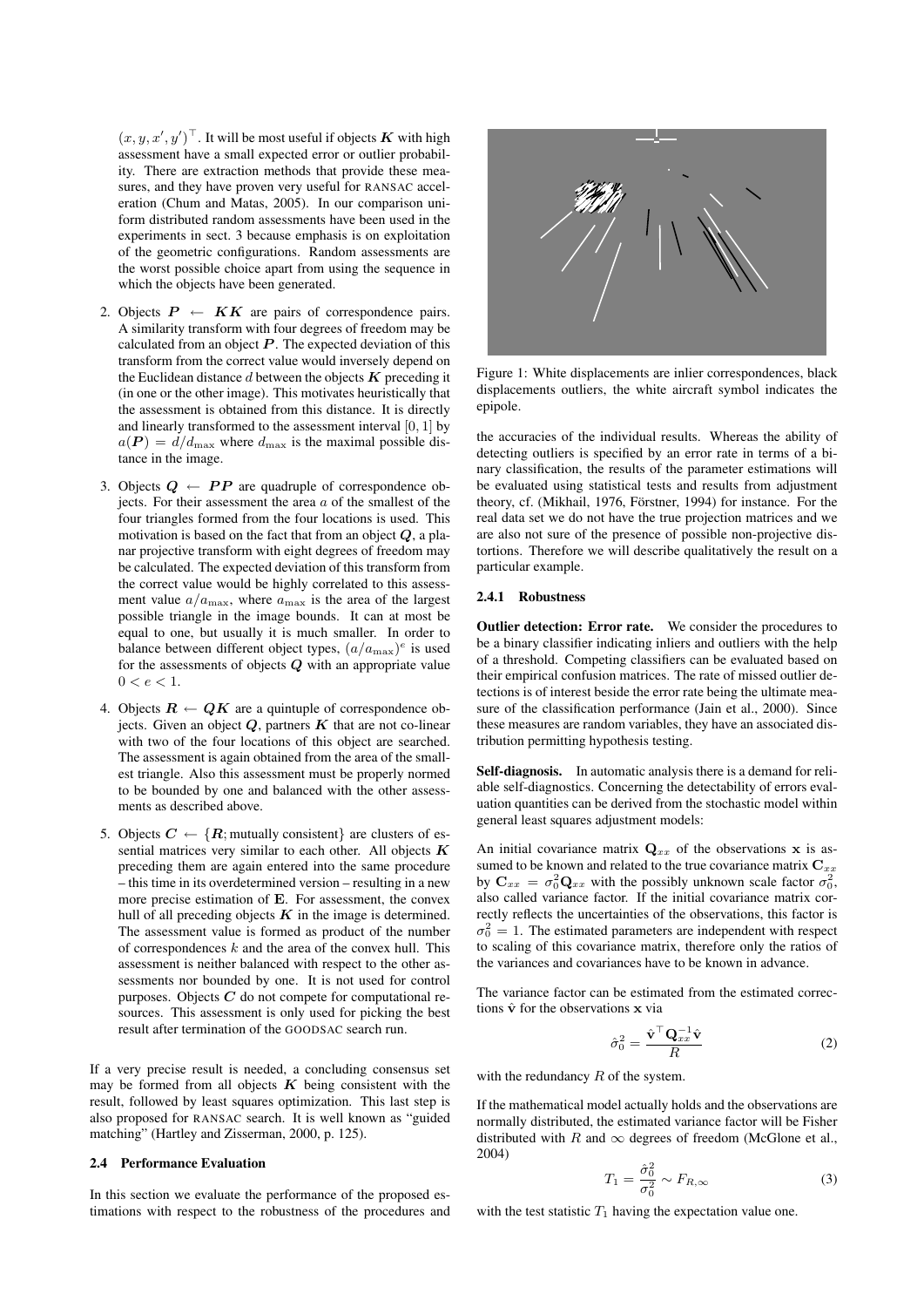$(x, y, x', y')^{\top}$ . It will be most useful if objects K with high assessment have a small expected error or outlier probability. There are extraction methods that provide these measures, and they have proven very useful for RANSAC acceleration (Chum and Matas, 2005). In our comparison uniform distributed random assessments have been used in the experiments in sect. 3 because emphasis is on exploitation of the geometric configurations. Random assessments are the worst possible choice apart from using the sequence in which the objects have been generated.

- 2. Objects  $P \leftarrow K K$  are pairs of correspondence pairs. A similarity transform with four degrees of freedom may be calculated from an object  $P$ . The expected deviation of this transform from the correct value would inversely depend on the Euclidean distance  $d$  between the objects  $K$  preceding it (in one or the other image). This motivates heuristically that the assessment is obtained from this distance. It is directly and linearly transformed to the assessment interval [0, 1] by  $a(P) = d/d_{\text{max}}$  where  $d_{\text{max}}$  is the maximal possible distance in the image.
- 3. Objects  $Q \leftarrow PP$  are quadruple of correspondence objects. For their assessment the area  $a$  of the smallest of the four triangles formed from the four locations is used. This motivation is based on the fact that from an object  $Q$ , a planar projective transform with eight degrees of freedom may be calculated. The expected deviation of this transform from the correct value would be highly correlated to this assessment value  $a/a_{\text{max}}$ , where  $a_{\text{max}}$  is the area of the largest possible triangle in the image bounds. It can at most be equal to one, but usually it is much smaller. In order to balance between different object types,  $(a/a_{\text{max}})^e$  is used for the assessments of objects  $Q$  with an appropriate value  $0 < e < 1$ .
- 4. Objects  $R \leftarrow QK$  are a quintuple of correspondence objects. Given an object  $Q$ , partners  $K$  that are not co-linear with two of the four locations of this object are searched. The assessment is again obtained from the area of the smallest triangle. Also this assessment must be properly normed to be bounded by one and balanced with the other assessments as described above.
- 5. Objects  $C \leftarrow \{R;$  mutually consistent} are clusters of essential matrices very similar to each other. All objects  $K$ preceding them are again entered into the same procedure – this time in its overdetermined version – resulting in a new more precise estimation of E. For assessment, the convex hull of all preceding objects  $K$  in the image is determined. The assessment value is formed as product of the number of correspondences  $k$  and the area of the convex hull. This assessment is neither balanced with respect to the other assessments nor bounded by one. It is not used for control purposes. Objects  $C$  do not compete for computational resources. This assessment is only used for picking the best result after termination of the GOODSAC search run.

If a very precise result is needed, a concluding consensus set may be formed from all objects  $K$  being consistent with the result, followed by least squares optimization. This last step is also proposed for RANSAC search. It is well known as "guided matching" (Hartley and Zisserman, 2000, p. 125).

## 2.4 Performance Evaluation

In this section we evaluate the performance of the proposed estimations with respect to the robustness of the procedures and



Figure 1: White displacements are inlier correspondences, black displacements outliers, the white aircraft symbol indicates the epipole.

the accuracies of the individual results. Whereas the ability of detecting outliers is specified by an error rate in terms of a binary classification, the results of the parameter estimations will be evaluated using statistical tests and results from adjustment theory, cf. (Mikhail, 1976, Förstner, 1994) for instance. For the real data set we do not have the true projection matrices and we are also not sure of the presence of possible non-projective distortions. Therefore we will describe qualitatively the result on a particular example.

#### 2.4.1 Robustness

Outlier detection: Error rate. We consider the procedures to be a binary classifier indicating inliers and outliers with the help of a threshold. Competing classifiers can be evaluated based on their empirical confusion matrices. The rate of missed outlier detections is of interest beside the error rate being the ultimate measure of the classification performance (Jain et al., 2000). Since these measures are random variables, they have an associated distribution permitting hypothesis testing.

Self-diagnosis. In automatic analysis there is a demand for reliable self-diagnostics. Concerning the detectability of errors evaluation quantities can be derived from the stochastic model within general least squares adjustment models:

An initial covariance matrix  $Q_{xx}$  of the observations x is assumed to be known and related to the true covariance matrix  $\mathbf{C}_{xx}$ by  $\mathbf{C}_{xx} = \sigma_0^2 \mathbf{Q}_{xx}$  with the possibly unknown scale factor  $\sigma_0^2$ , also called variance factor. If the initial covariance matrix correctly reflects the uncertainties of the observations, this factor is  $\sigma_0^2 = 1$ . The estimated parameters are independent with respect to scaling of this covariance matrix, therefore only the ratios of the variances and covariances have to be known in advance.

The variance factor can be estimated from the estimated corrections  $\hat{v}$  for the observations  $x$  via

$$
\hat{\sigma}_0^2 = \frac{\hat{\mathbf{v}}^\top \mathbf{Q}_{xx}^{-1} \hat{\mathbf{v}}}{R}
$$
 (2)

with the redundancy  $R$  of the system.

If the mathematical model actually holds and the observations are normally distributed, the estimated variance factor will be Fisher distributed with R and  $\infty$  degrees of freedom (McGlone et al., 2004)

$$
T_1 = \frac{\hat{\sigma}_0^2}{\sigma_0^2} \sim F_{R,\infty} \tag{3}
$$

with the test statistic  $T_1$  having the expectation value one.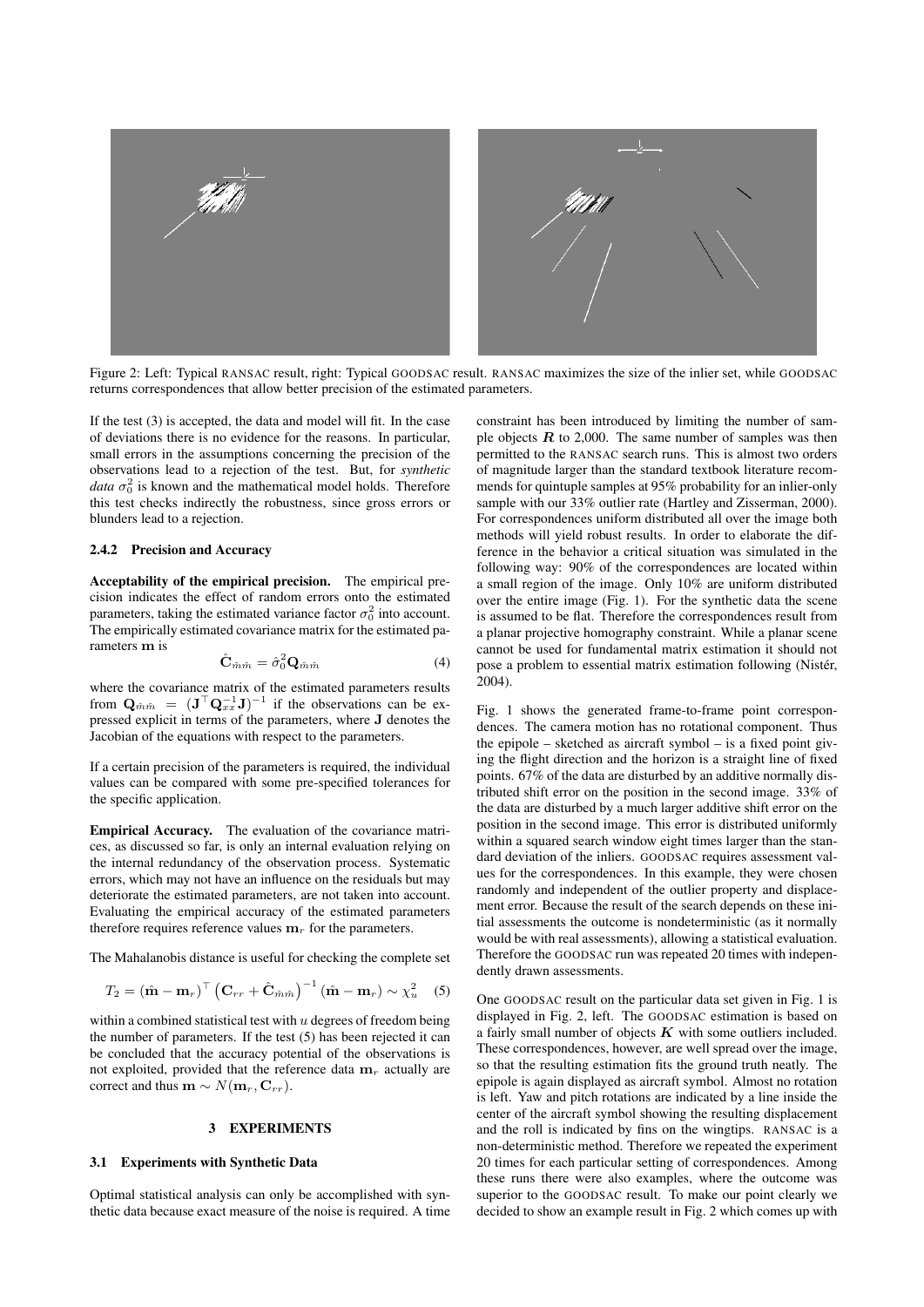

Figure 2: Left: Typical RANSAC result, right: Typical GOODSAC result. RANSAC maximizes the size of the inlier set, while GOODSAC returns correspondences that allow better precision of the estimated parameters.

If the test (3) is accepted, the data and model will fit. In the case of deviations there is no evidence for the reasons. In particular, small errors in the assumptions concerning the precision of the observations lead to a rejection of the test. But, for *synthetic data*  $\sigma_0^2$  is known and the mathematical model holds. Therefore this test checks indirectly the robustness, since gross errors or blunders lead to a rejection.

### 2.4.2 Precision and Accuracy

Acceptability of the empirical precision. The empirical precision indicates the effect of random errors onto the estimated parameters, taking the estimated variance factor  $\sigma_0^2$  into account. The empirically estimated covariance matrix for the estimated parameters m is

$$
\hat{\mathbf{C}}_{\hat{m}\hat{m}} = \hat{\sigma}_0^2 \mathbf{Q}_{\hat{m}\hat{m}} \tag{4}
$$

where the covariance matrix of the estimated parameters results from  $\mathbf{Q}_{\hat{m}\hat{m}} = (\mathbf{J}^\top \mathbf{Q}_{xx}^{-1} \mathbf{J})^{-1}$  if the observations can be expressed explicit in terms of the parameters, where J denotes the Jacobian of the equations with respect to the parameters.

If a certain precision of the parameters is required, the individual values can be compared with some pre-specified tolerances for the specific application.

Empirical Accuracy. The evaluation of the covariance matrices, as discussed so far, is only an internal evaluation relying on the internal redundancy of the observation process. Systematic errors, which may not have an influence on the residuals but may deteriorate the estimated parameters, are not taken into account. Evaluating the empirical accuracy of the estimated parameters therefore requires reference values  $\mathbf{m}_r$  for the parameters.

The Mahalanobis distance is useful for checking the complete set

$$
T_2 = (\hat{\mathbf{m}} - \mathbf{m}_r)^{\top} \left( \mathbf{C}_{rr} + \hat{\mathbf{C}}_{\hat{m}\hat{m}} \right)^{-1} (\hat{\mathbf{m}} - \mathbf{m}_r) \sim \chi_u^2 \quad (5)
$$

within a combined statistical test with  $u$  degrees of freedom being the number of parameters. If the test (5) has been rejected it can be concluded that the accuracy potential of the observations is not exploited, provided that the reference data  $m<sub>r</sub>$  actually are correct and thus  $\mathbf{m} \sim N(\mathbf{m}_r, \mathbf{C}_{rr}).$ 

#### 3 EXPERIMENTS

### 3.1 Experiments with Synthetic Data

Optimal statistical analysis can only be accomplished with synthetic data because exact measure of the noise is required. A time

constraint has been introduced by limiting the number of sample objects  $R$  to 2,000. The same number of samples was then permitted to the RANSAC search runs. This is almost two orders of magnitude larger than the standard textbook literature recommends for quintuple samples at 95% probability for an inlier-only sample with our 33% outlier rate (Hartley and Zisserman, 2000). For correspondences uniform distributed all over the image both methods will yield robust results. In order to elaborate the difference in the behavior a critical situation was simulated in the following way: 90% of the correspondences are located within a small region of the image. Only 10% are uniform distributed over the entire image (Fig. 1). For the synthetic data the scene is assumed to be flat. Therefore the correspondences result from a planar projective homography constraint. While a planar scene cannot be used for fundamental matrix estimation it should not pose a problem to essential matrix estimation following (Nistér, 2004).

Fig. 1 shows the generated frame-to-frame point correspondences. The camera motion has no rotational component. Thus the epipole – sketched as aircraft symbol – is a fixed point giving the flight direction and the horizon is a straight line of fixed points. 67% of the data are disturbed by an additive normally distributed shift error on the position in the second image. 33% of the data are disturbed by a much larger additive shift error on the position in the second image. This error is distributed uniformly within a squared search window eight times larger than the standard deviation of the inliers. GOODSAC requires assessment values for the correspondences. In this example, they were chosen randomly and independent of the outlier property and displacement error. Because the result of the search depends on these initial assessments the outcome is nondeterministic (as it normally would be with real assessments), allowing a statistical evaluation. Therefore the GOODSAC run was repeated 20 times with independently drawn assessments.

One GOODSAC result on the particular data set given in Fig. 1 is displayed in Fig. 2, left. The GOODSAC estimation is based on a fairly small number of objects  $K$  with some outliers included. These correspondences, however, are well spread over the image, so that the resulting estimation fits the ground truth neatly. The epipole is again displayed as aircraft symbol. Almost no rotation is left. Yaw and pitch rotations are indicated by a line inside the center of the aircraft symbol showing the resulting displacement and the roll is indicated by fins on the wingtips. RANSAC is a non-deterministic method. Therefore we repeated the experiment 20 times for each particular setting of correspondences. Among these runs there were also examples, where the outcome was superior to the GOODSAC result. To make our point clearly we decided to show an example result in Fig. 2 which comes up with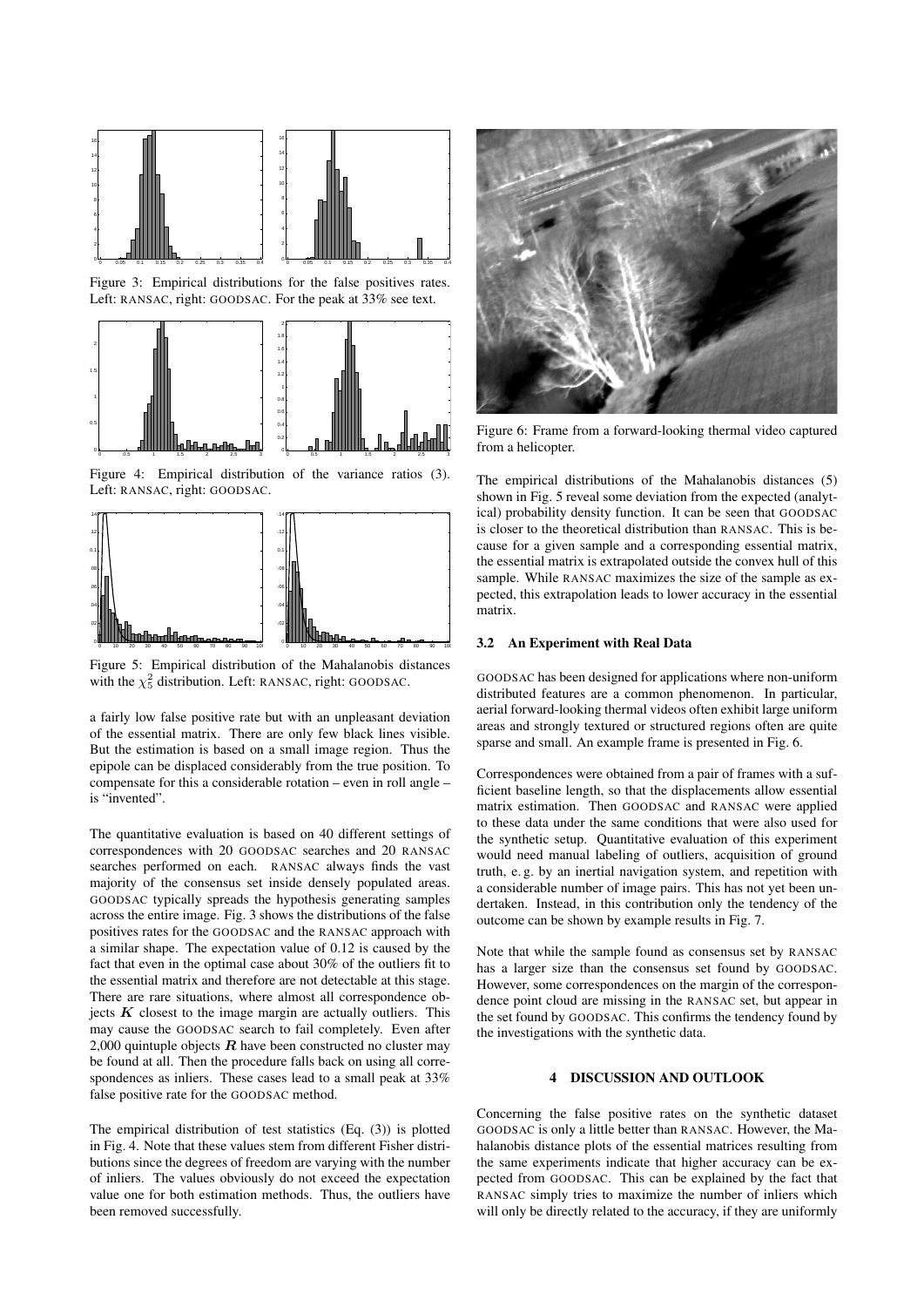

Figure 3: Empirical distributions for the false positives rates. Left: RANSAC, right: GOODSAC. For the peak at 33% see text.



Figure 4: Empirical distribution of the variance ratios (3). Left: RANSAC, right: GOODSAC.



Figure 5: Empirical distribution of the Mahalanobis distances with the  $\chi^2$  distribution. Left: RANSAC, right: GOODSAC.

a fairly low false positive rate but with an unpleasant deviation of the essential matrix. There are only few black lines visible. But the estimation is based on a small image region. Thus the epipole can be displaced considerably from the true position. To compensate for this a considerable rotation – even in roll angle – is "invented".

The quantitative evaluation is based on 40 different settings of correspondences with 20 GOODSAC searches and 20 RANSAC searches performed on each. RANSAC always finds the vast majority of the consensus set inside densely populated areas. GOODSAC typically spreads the hypothesis generating samples across the entire image. Fig. 3 shows the distributions of the false positives rates for the GOODSAC and the RANSAC approach with a similar shape. The expectation value of 0.12 is caused by the fact that even in the optimal case about 30% of the outliers fit to the essential matrix and therefore are not detectable at this stage. There are rare situations, where almost all correspondence objects  $K$  closest to the image margin are actually outliers. This may cause the GOODSAC search to fail completely. Even after 2,000 quintuple objects  $R$  have been constructed no cluster may be found at all. Then the procedure falls back on using all correspondences as inliers. These cases lead to a small peak at 33% false positive rate for the GOODSAC method.

The empirical distribution of test statistics (Eq. (3)) is plotted in Fig. 4. Note that these values stem from different Fisher distributions since the degrees of freedom are varying with the number of inliers. The values obviously do not exceed the expectation value one for both estimation methods. Thus, the outliers have been removed successfully.



Figure 6: Frame from a forward-looking thermal video captured from a helicopter.

The empirical distributions of the Mahalanobis distances (5) shown in Fig. 5 reveal some deviation from the expected (analytical) probability density function. It can be seen that GOODSAC is closer to the theoretical distribution than RANSAC. This is because for a given sample and a corresponding essential matrix, the essential matrix is extrapolated outside the convex hull of this sample. While RANSAC maximizes the size of the sample as expected, this extrapolation leads to lower accuracy in the essential matrix.

#### 3.2 An Experiment with Real Data

GOODSAC has been designed for applications where non-uniform distributed features are a common phenomenon. In particular, aerial forward-looking thermal videos often exhibit large uniform areas and strongly textured or structured regions often are quite sparse and small. An example frame is presented in Fig. 6.

Correspondences were obtained from a pair of frames with a sufficient baseline length, so that the displacements allow essential matrix estimation. Then GOODSAC and RANSAC were applied to these data under the same conditions that were also used for the synthetic setup. Quantitative evaluation of this experiment would need manual labeling of outliers, acquisition of ground truth, e. g. by an inertial navigation system, and repetition with a considerable number of image pairs. This has not yet been undertaken. Instead, in this contribution only the tendency of the outcome can be shown by example results in Fig. 7.

Note that while the sample found as consensus set by RANSAC has a larger size than the consensus set found by GOODSAC. However, some correspondences on the margin of the correspondence point cloud are missing in the RANSAC set, but appear in the set found by GOODSAC. This confirms the tendency found by the investigations with the synthetic data.

# 4 DISCUSSION AND OUTLOOK

Concerning the false positive rates on the synthetic dataset GOODSAC is only a little better than RANSAC. However, the Mahalanobis distance plots of the essential matrices resulting from the same experiments indicate that higher accuracy can be expected from GOODSAC. This can be explained by the fact that RANSAC simply tries to maximize the number of inliers which will only be directly related to the accuracy, if they are uniformly